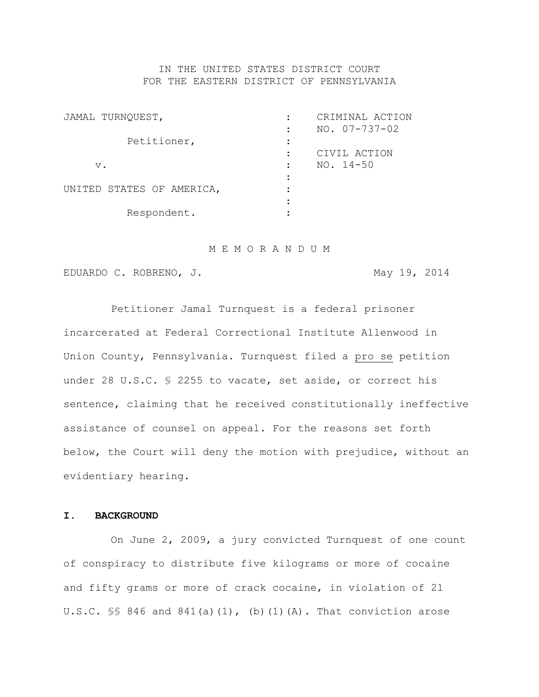# IN THE UNITED STATES DISTRICT COURT FOR THE EASTERN DISTRICT OF PENNSYLVANIA

| JAMAL TURNQUEST,          | CRIMINAL ACTION     |
|---------------------------|---------------------|
|                           | $NO. 07 - 737 - 02$ |
| Petitioner,               |                     |
|                           | CIVIL ACTION        |
| $V$ .                     | NO. 14-50           |
|                           |                     |
| UNITED STATES OF AMERICA, |                     |
|                           |                     |
| Respondent.               |                     |

#### M E M O R A N D U M

EDUARDO C. ROBRENO, J. (2014) May 19, 2014

Petitioner Jamal Turnquest is a federal prisoner incarcerated at Federal Correctional Institute Allenwood in Union County, Pennsylvania. Turnquest filed a pro se petition under 28 U.S.C. § 2255 to vacate, set aside, or correct his sentence, claiming that he received constitutionally ineffective assistance of counsel on appeal. For the reasons set forth below, the Court will deny the motion with prejudice, without an evidentiary hearing.

# **I. BACKGROUND**

On June 2, 2009, a jury convicted Turnquest of one count of conspiracy to distribute five kilograms or more of cocaine and fifty grams or more of crack cocaine, in violation of 21 U.S.C.  $\frac{1}{5}$  846 and 841(a)(1), (b)(1)(A). That conviction arose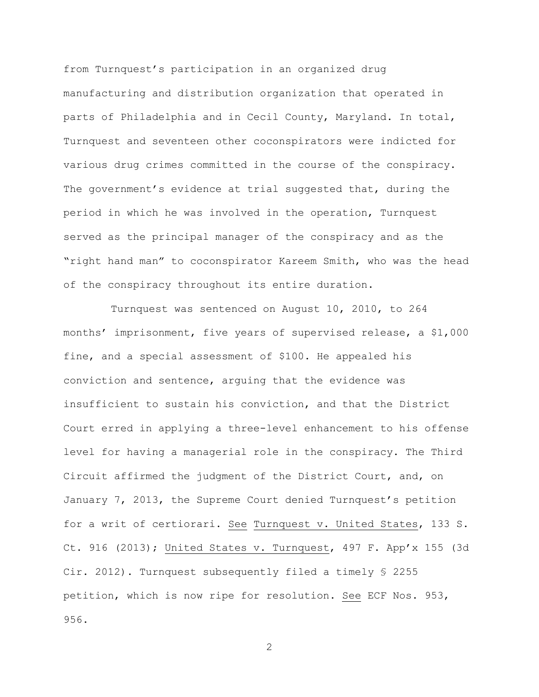from Turnquest's participation in an organized drug manufacturing and distribution organization that operated in parts of Philadelphia and in Cecil County, Maryland. In total, Turnquest and seventeen other coconspirators were indicted for various drug crimes committed in the course of the conspiracy. The government's evidence at trial suggested that, during the period in which he was involved in the operation, Turnquest served as the principal manager of the conspiracy and as the "right hand man" to coconspirator Kareem Smith, who was the head of the conspiracy throughout its entire duration.

Turnquest was sentenced on August 10, 2010, to 264 months' imprisonment, five years of supervised release, a \$1,000 fine, and a special assessment of \$100. He appealed his conviction and sentence, arguing that the evidence was insufficient to sustain his conviction, and that the District Court erred in applying a three-level enhancement to his offense level for having a managerial role in the conspiracy. The Third Circuit affirmed the judgment of the District Court, and, on January 7, 2013, the Supreme Court denied Turnquest's petition for a writ of certiorari. See Turnquest v. United States, 133 S. Ct. 916 (2013); United States v. Turnquest, 497 F. App'x 155 (3d Cir. 2012). Turnquest subsequently filed a timely § 2255 petition, which is now ripe for resolution. See ECF Nos. 953, 956.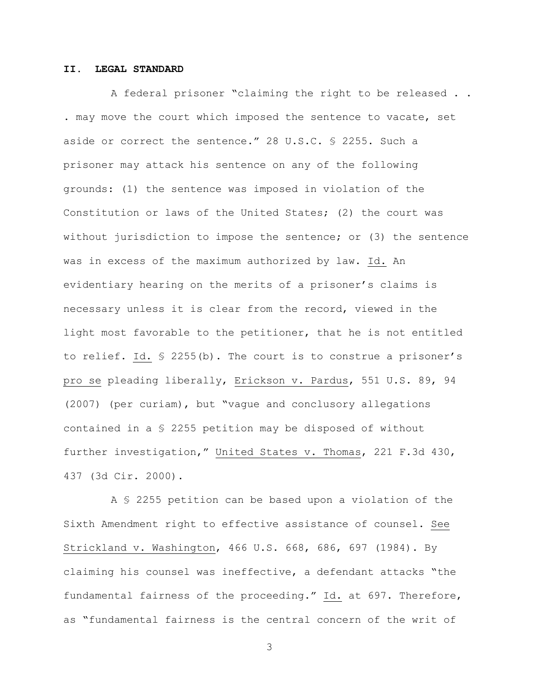### **II. LEGAL STANDARD**

A federal prisoner "claiming the right to be released . . . may move the court which imposed the sentence to vacate, set aside or correct the sentence." 28 U.S.C. § 2255. Such a prisoner may attack his sentence on any of the following grounds: (1) the sentence was imposed in violation of the Constitution or laws of the United States; (2) the court was without jurisdiction to impose the sentence; or (3) the sentence was in excess of the maximum authorized by law. Id. An evidentiary hearing on the merits of a prisoner's claims is necessary unless it is clear from the record, viewed in the light most favorable to the petitioner, that he is not entitled to relief. Id. § 2255(b). The court is to construe a prisoner's pro se pleading liberally, Erickson v. Pardus, 551 U.S. 89, 94 (2007) (per curiam), but "vague and conclusory allegations contained in a § 2255 petition may be disposed of without further investigation," United States v. Thomas, 221 F.3d 430, 437 (3d Cir. 2000).

A § 2255 petition can be based upon a violation of the Sixth Amendment right to effective assistance of counsel. See Strickland v. Washington, 466 U.S. 668, 686, 697 (1984). By claiming his counsel was ineffective, a defendant attacks "the fundamental fairness of the proceeding." Id. at 697. Therefore, as "fundamental fairness is the central concern of the writ of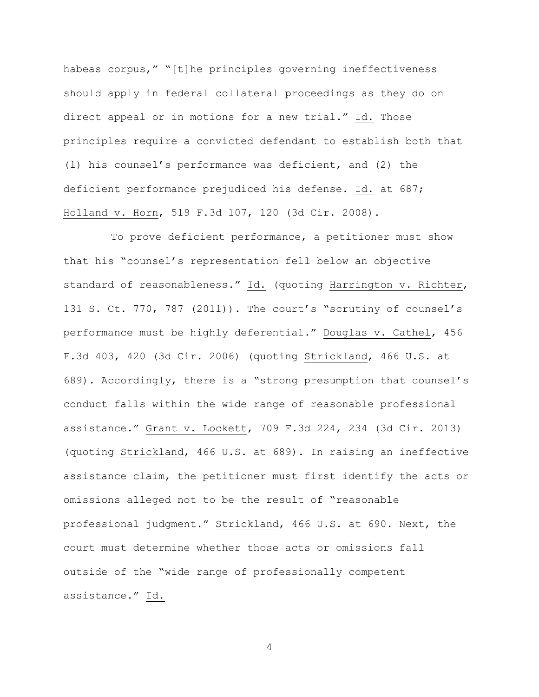habeas corpus," "[t]he principles governing ineffectiveness should apply in federal collateral proceedings as they do on direct appeal or in motions for a new trial." Id. Those principles require a convicted defendant to establish both that (1) his counsel's performance was deficient, and (2) the deficient performance prejudiced his defense. Id. at 687; Holland v. Horn, 519 F.3d 107, 120 (3d Cir. 2008).

To prove deficient performance, a petitioner must show that his "counsel's representation fell below an objective standard of reasonableness." Id. (quoting Harrington v. Richter, 131 S. Ct. 770, 787 (2011)). The court's "scrutiny of counsel's performance must be highly deferential." Douglas v. Cathel, 456 F.3d 403, 420 (3d Cir. 2006) (quoting Strickland, 466 U.S. at 689). Accordingly, there is a "strong presumption that counsel's conduct falls within the wide range of reasonable professional assistance." Grant v. Lockett, 709 F.3d 224, 234 (3d Cir. 2013) (quoting Strickland, 466 U.S. at 689). In raising an ineffective assistance claim, the petitioner must first identify the acts or omissions alleged not to be the result of "reasonable professional judgment." Strickland, 466 U.S. at 690. Next, the court must determine whether those acts or omissions fall outside of the "wide range of professionally competent assistance." Id.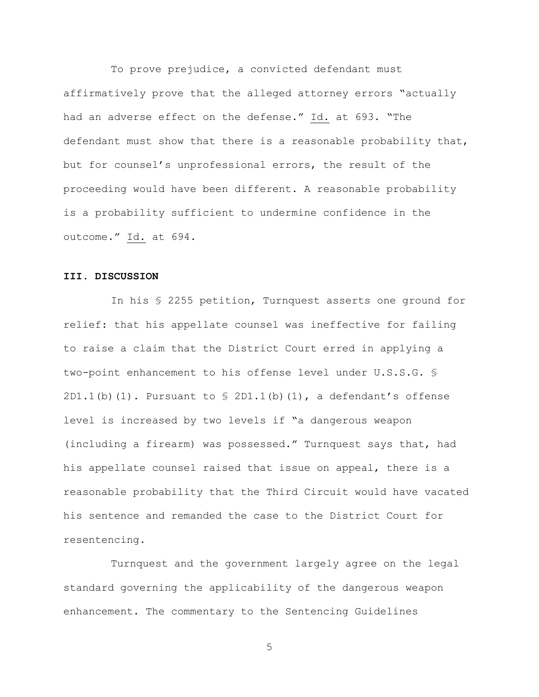To prove prejudice, a convicted defendant must affirmatively prove that the alleged attorney errors "actually had an adverse effect on the defense." Id. at 693. "The defendant must show that there is a reasonable probability that, but for counsel's unprofessional errors, the result of the proceeding would have been different. A reasonable probability is a probability sufficient to undermine confidence in the outcome." Id. at 694.

# **III. DISCUSSION**

In his § 2255 petition, Turnquest asserts one ground for relief: that his appellate counsel was ineffective for failing to raise a claim that the District Court erred in applying a two-point enhancement to his offense level under U.S.S.G. § 2D1.1(b)(1). Pursuant to  $\frac{1}{2}$  2D1.1(b)(1), a defendant's offense level is increased by two levels if "a dangerous weapon (including a firearm) was possessed." Turnquest says that, had his appellate counsel raised that issue on appeal, there is a reasonable probability that the Third Circuit would have vacated his sentence and remanded the case to the District Court for resentencing.

Turnquest and the government largely agree on the legal standard governing the applicability of the dangerous weapon enhancement. The commentary to the Sentencing Guidelines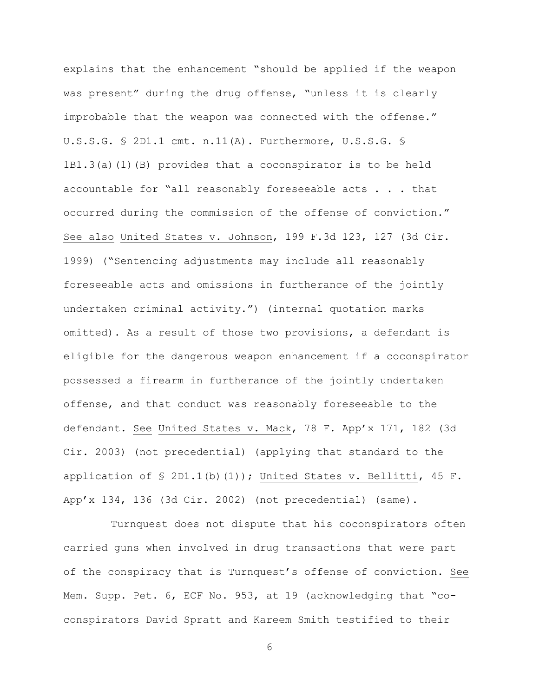explains that the enhancement "should be applied if the weapon was present" during the drug offense, "unless it is clearly improbable that the weapon was connected with the offense." U.S.S.G. § 2D1.1 cmt. n.11(A). Furthermore, U.S.S.G. § 1B1.3(a)(1)(B) provides that a coconspirator is to be held accountable for "all reasonably foreseeable acts . . . that occurred during the commission of the offense of conviction." See also United States v. Johnson, 199 F.3d 123, 127 (3d Cir. 1999) ("Sentencing adjustments may include all reasonably foreseeable acts and omissions in furtherance of the jointly undertaken criminal activity.") (internal quotation marks omitted). As a result of those two provisions, a defendant is eligible for the dangerous weapon enhancement if a coconspirator possessed a firearm in furtherance of the jointly undertaken offense, and that conduct was reasonably foreseeable to the defendant. See United States v. Mack, 78 F. App'x 171, 182 (3d Cir. 2003) (not precedential) (applying that standard to the application of  $\text{\$ 2D1.1(b) (1))}$ ; United States v. Bellitti, 45 F. App'x 134, 136 (3d Cir. 2002) (not precedential) (same).

Turnquest does not dispute that his coconspirators often carried guns when involved in drug transactions that were part of the conspiracy that is Turnquest's offense of conviction. See Mem. Supp. Pet. 6, ECF No. 953, at 19 (acknowledging that "coconspirators David Spratt and Kareem Smith testified to their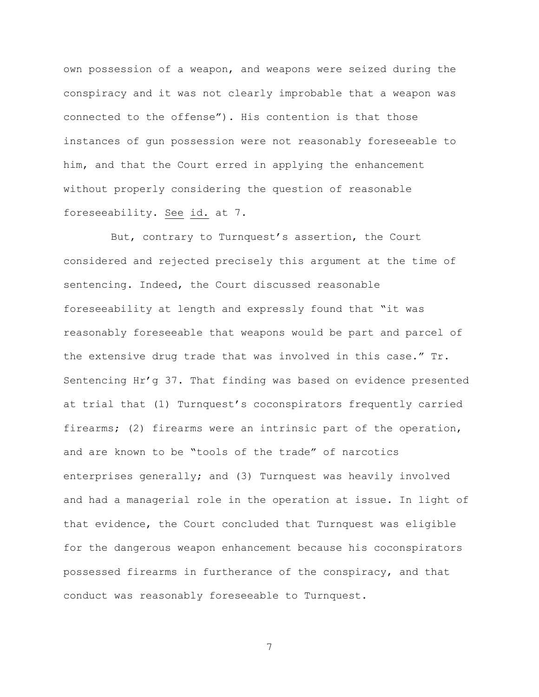own possession of a weapon, and weapons were seized during the conspiracy and it was not clearly improbable that a weapon was connected to the offense"). His contention is that those instances of gun possession were not reasonably foreseeable to him, and that the Court erred in applying the enhancement without properly considering the question of reasonable foreseeability. See id. at 7.

But, contrary to Turnquest's assertion, the Court considered and rejected precisely this argument at the time of sentencing. Indeed, the Court discussed reasonable foreseeability at length and expressly found that "it was reasonably foreseeable that weapons would be part and parcel of the extensive drug trade that was involved in this case." Tr. Sentencing Hr'g 37. That finding was based on evidence presented at trial that (1) Turnquest's coconspirators frequently carried firearms; (2) firearms were an intrinsic part of the operation, and are known to be "tools of the trade" of narcotics enterprises generally; and (3) Turnquest was heavily involved and had a managerial role in the operation at issue. In light of that evidence, the Court concluded that Turnquest was eligible for the dangerous weapon enhancement because his coconspirators possessed firearms in furtherance of the conspiracy, and that conduct was reasonably foreseeable to Turnquest.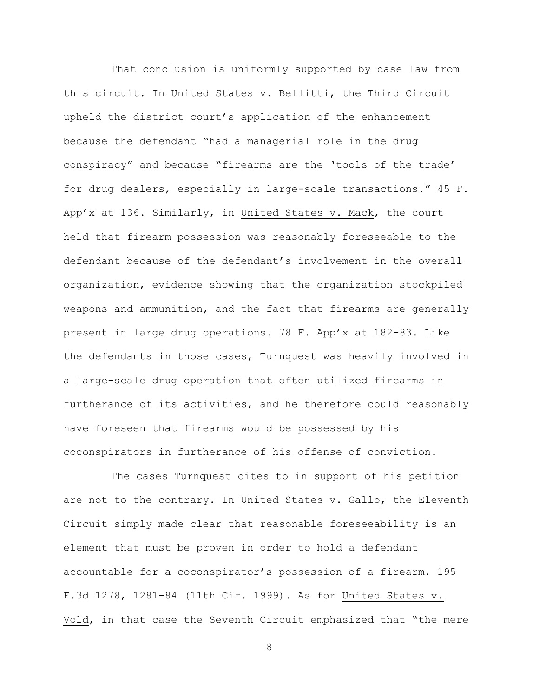That conclusion is uniformly supported by case law from this circuit. In United States v. Bellitti, the Third Circuit upheld the district court's application of the enhancement because the defendant "had a managerial role in the drug conspiracy" and because "firearms are the 'tools of the trade' for drug dealers, especially in large-scale transactions." 45 F. App'x at 136. Similarly, in United States v. Mack, the court held that firearm possession was reasonably foreseeable to the defendant because of the defendant's involvement in the overall organization, evidence showing that the organization stockpiled weapons and ammunition, and the fact that firearms are generally present in large drug operations. 78 F. App'x at 182-83. Like the defendants in those cases, Turnquest was heavily involved in a large-scale drug operation that often utilized firearms in furtherance of its activities, and he therefore could reasonably have foreseen that firearms would be possessed by his coconspirators in furtherance of his offense of conviction.

The cases Turnquest cites to in support of his petition are not to the contrary. In United States v. Gallo, the Eleventh Circuit simply made clear that reasonable foreseeability is an element that must be proven in order to hold a defendant accountable for a coconspirator's possession of a firearm. 195 F.3d 1278, 1281-84 (11th Cir. 1999). As for United States v. Vold, in that case the Seventh Circuit emphasized that "the mere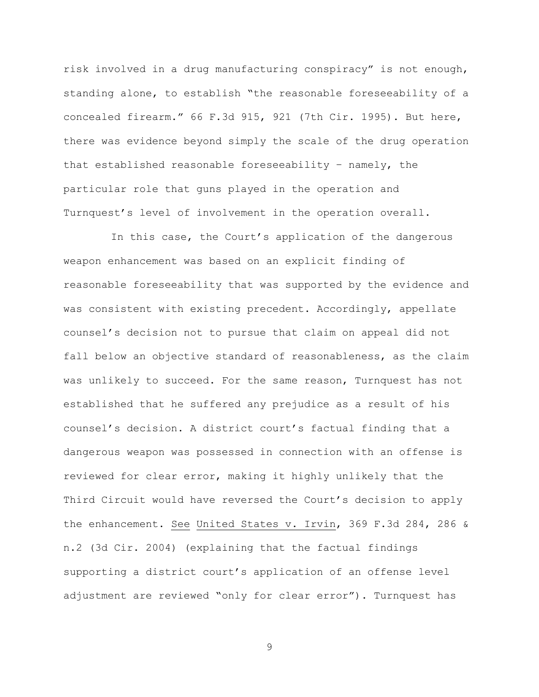risk involved in a drug manufacturing conspiracy" is not enough, standing alone, to establish "the reasonable foreseeability of a concealed firearm." 66 F.3d 915, 921 (7th Cir. 1995). But here, there was evidence beyond simply the scale of the drug operation that established reasonable foreseeability – namely, the particular role that guns played in the operation and Turnquest's level of involvement in the operation overall.

In this case, the Court's application of the dangerous weapon enhancement was based on an explicit finding of reasonable foreseeability that was supported by the evidence and was consistent with existing precedent. Accordingly, appellate counsel's decision not to pursue that claim on appeal did not fall below an objective standard of reasonableness, as the claim was unlikely to succeed. For the same reason, Turnquest has not established that he suffered any prejudice as a result of his counsel's decision. A district court's factual finding that a dangerous weapon was possessed in connection with an offense is reviewed for clear error, making it highly unlikely that the Third Circuit would have reversed the Court's decision to apply the enhancement. See United States v. Irvin, 369 F.3d 284, 286 & n.2 (3d Cir. 2004) (explaining that the factual findings supporting a district court's application of an offense level adjustment are reviewed "only for clear error"). Turnquest has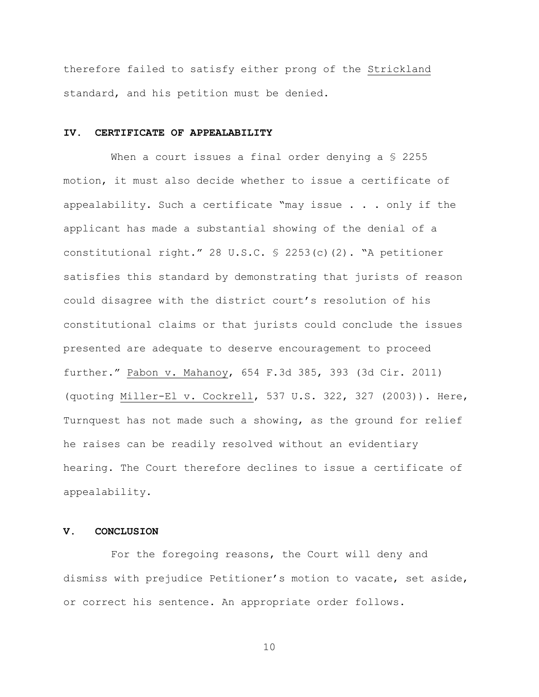therefore failed to satisfy either prong of the Strickland standard, and his petition must be denied.

#### **IV. CERTIFICATE OF APPEALABILITY**

When a court issues a final order denying a \$ 2255 motion, it must also decide whether to issue a certificate of appealability. Such a certificate "may issue . . . only if the applicant has made a substantial showing of the denial of a constitutional right." 28 U.S.C. § 2253(c)(2). "A petitioner satisfies this standard by demonstrating that jurists of reason could disagree with the district court's resolution of his constitutional claims or that jurists could conclude the issues presented are adequate to deserve encouragement to proceed further." Pabon v. Mahanoy, 654 F.3d 385, 393 (3d Cir. 2011) (quoting Miller-El v. Cockrell, 537 U.S. 322, 327 (2003)). Here, Turnquest has not made such a showing, as the ground for relief he raises can be readily resolved without an evidentiary hearing. The Court therefore declines to issue a certificate of appealability.

### **V. CONCLUSION**

For the foregoing reasons, the Court will deny and dismiss with prejudice Petitioner's motion to vacate, set aside, or correct his sentence. An appropriate order follows.